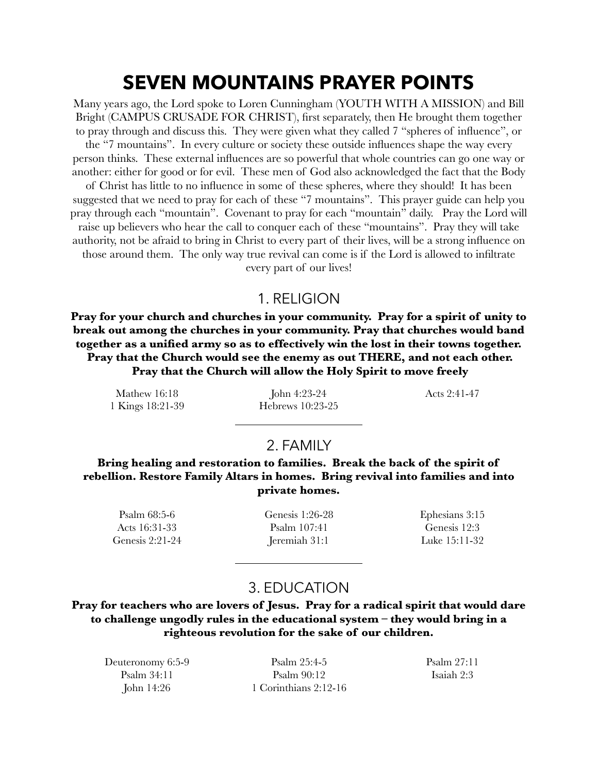# **SEVEN MOUNTAINS PRAYER POINTS**

Many years ago, the Lord spoke to Loren Cunningham (YOUTH WITH A MISSION) and Bill Bright (CAMPUS CRUSADE FOR CHRIST), first separately, then He brought them together to pray through and discuss this. They were given what they called 7 "spheres of influence", or the "7 mountains". In every culture or society these outside influences shape the way every person thinks. These external influences are so powerful that whole countries can go one way or another: either for good or for evil. These men of God also acknowledged the fact that the Body of Christ has little to no influence in some of these spheres, where they should! It has been suggested that we need to pray for each of these "7 mountains". This prayer guide can help you pray through each "mountain". Covenant to pray for each "mountain" daily. Pray the Lord will raise up believers who hear the call to conquer each of these "mountains". Pray they will take authority, not be afraid to bring in Christ to every part of their lives, will be a strong influence on those around them. The only way true revival can come is if the Lord is allowed to infiltrate every part of our lives!

#### 1. RELIGION

**Pray for your church and churches in your community. Pray for a spirit of unity to break out among the churches in your community. Pray that churches would band together as a unified army so as to effectively win the lost in their towns together. Pray that the Church would see the enemy as out THERE, and not each other. Pray that the Church will allow the Holy Spirit to move freely** 

Mathew 16:18 1 Kings 18:21-39

John 4:23-24 Hebrews 10:23-25 Acts 2:41-47

# 2. FAMILY

**Bring healing and restoration to families. Break the back of the spirit of rebellion. Restore Family Altars in homes. Bring revival into families and into private homes.** 

Psalm 68:5-6 Acts 16:31-33 Genesis 2:21-24 Genesis 1:26-28 Psalm 107:41 Jeremiah 31:1

Ephesians 3:15 Genesis 12:3 Luke 15:11-32

# 3. EDUCATION

**Pray for teachers who are lovers of Jesus. Pray for a radical spirit that would dare to challenge ungodly rules in the educational system – they would bring in a righteous revolution for the sake of our children.**

Deuteronomy 6:5-9 Psalm 34:11 John 14:26

Psalm 25:4-5 Psalm 90:12 1 Corinthians 2:12-16 Psalm 27:11 Isaiah 2:3